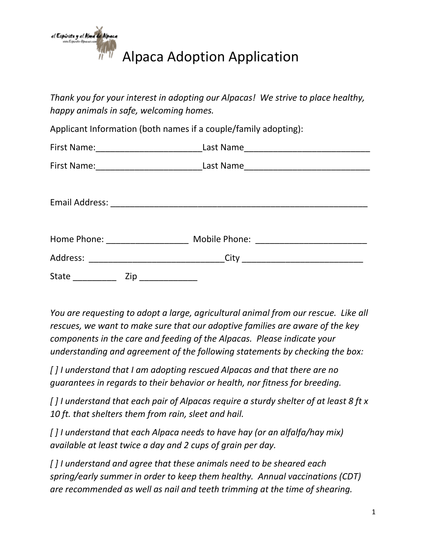

*Thank you for your interest in adopting our Alpacas! We strive to place healthy, happy animals in safe, welcoming homes.*

Applicant Information (both names if a couple/family adopting):

|                                                                                                                                                  |     | First Name:___________________________________Last Name_________________________ |  |
|--------------------------------------------------------------------------------------------------------------------------------------------------|-----|----------------------------------------------------------------------------------|--|
|                                                                                                                                                  |     | First Name:___________________________________Last Name_________________________ |  |
|                                                                                                                                                  |     |                                                                                  |  |
|                                                                                                                                                  |     | Home Phone: __________________________ Mobile Phone: ___________________________ |  |
|                                                                                                                                                  |     | Address: _________________________________City _________________________________ |  |
| $\begin{aligned} \mathcal{L}_{\text{max}}(\mathcal{L}_{\text{max}}) = \mathcal{L}_{\text{max}}(\mathcal{L}_{\text{max}}) \end{aligned}$<br>State | Zip |                                                                                  |  |

*You are requesting to adopt a large, agricultural animal from our rescue. Like all rescues, we want to make sure that our adoptive families are aware of the key components in the care and feeding of the Alpacas. Please indicate your understanding and agreement of the following statements by checking the box:*

*[ ] I understand that I am adopting rescued Alpacas and that there are no guarantees in regards to their behavior or health, nor fitness for breeding.*

*[ ] I understand that each pair of Alpacas require a sturdy shelter of at least 8 ft x 10 ft. that shelters them from rain, sleet and hail.*

*[ ] I understand that each Alpaca needs to have hay (or an alfalfa/hay mix) available at least twice a day and 2 cups of grain per day.*

*[ ] I understand and agree that these animals need to be sheared each spring/early summer in order to keep them healthy. Annual vaccinations (CDT) are recommended as well as nail and teeth trimming at the time of shearing.*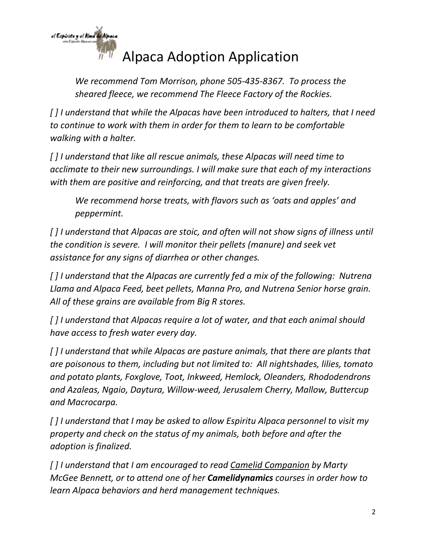

*We recommend Tom Morrison, phone 505-435-8367. To process the sheared fleece, we recommend The Fleece Factory of the Rockies.*

*[ ] I understand that while the Alpacas have been introduced to halters, that I need to continue to work with them in order for them to learn to be comfortable walking with a halter.*

*[ ] I understand that like all rescue animals, these Alpacas will need time to acclimate to their new surroundings. I will make sure that each of my interactions with them are positive and reinforcing, and that treats are given freely.*

*We recommend horse treats, with flavors such as 'oats and apples' and peppermint.*

*[ ] I understand that Alpacas are stoic, and often will not show signs of illness until the condition is severe. I will monitor their pellets (manure) and seek vet assistance for any signs of diarrhea or other changes.*

*[ ] I understand that the Alpacas are currently fed a mix of the following: Nutrena Llama and Alpaca Feed, beet pellets, Manna Pro, and Nutrena Senior horse grain. All of these grains are available from Big R stores.*

*[ ] I understand that Alpacas require a lot of water, and that each animal should have access to fresh water every day.*

*[ ] I understand that while Alpacas are pasture animals, that there are plants that are poisonous to them, including but not limited to: All nightshades, lilies, tomato and potato plants, Foxglove, Toot, Inkweed, Hemlock, Oleanders, Rhododendrons and Azaleas, Ngaio, Daytura, Willow-weed, Jerusalem Cherry, Mallow, Buttercup and Macrocarpa.*

*[ ] I understand that I may be asked to allow Espiritu Alpaca personnel to visit my property and check on the status of my animals, both before and after the adoption is finalized.*

*[ ] I understand that I am encouraged to read Camelid Companion by Marty McGee Bennett, or to attend one of her Camelidynamics courses in order how to learn Alpaca behaviors and herd management techniques.*